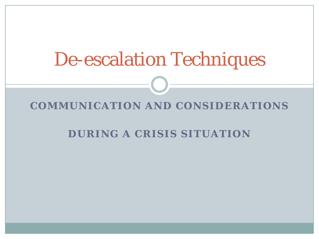# De-escalation Techniques

#### **COMMUNICATION AND CONSIDERATIONS**

#### **DURING A CRISIS SITUATION**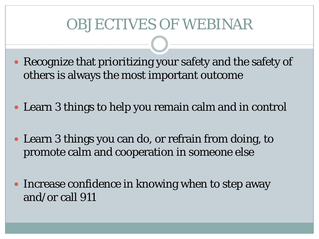## OBJECTIVES OF WEBINAR

- Recognize that prioritizing your safety and the safety of others is always the most important outcome
- Learn 3 things to help you remain calm and in control
- Learn 3 things you can do, or refrain from doing, to promote calm and cooperation in someone else
- Increase confidence in knowing when to step away and/or call 911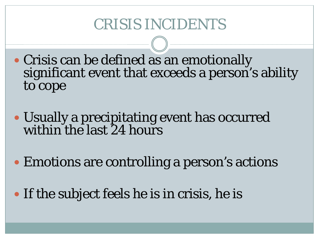## CRISIS INCIDENTS

- Crisis can be defined as an emotionally significant event that exceeds a person's ability to cope
- Usually a precipitating event has occurred within the last 24 hours
- Emotions are controlling a person's actions
- If the subject feels he is in crisis, he is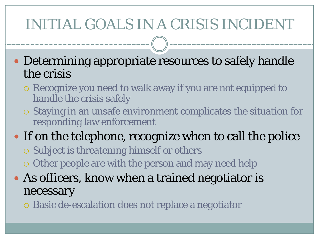# INITIAL GOALS IN A CRISIS INCIDENT

 Determining appropriate resources to safely handle the crisis

- Recognize you need to walk away if you are not equipped to handle the crisis safely
- Staying in an unsafe environment complicates the situation for responding law enforcement
- If on the telephone, recognize when to call the police
	- Subject is threatening himself or others
	- Other people are with the person and may need help
- As officers, know when a trained negotiator is necessary
	- Basic de-escalation does not replace a negotiator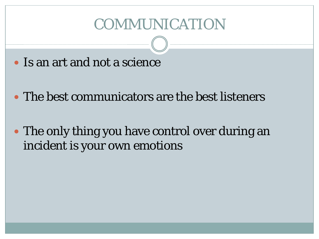#### COMMUNICATION

- Is an art and not a science
- The best communicators are the best listeners
- The only thing you have control over during an incident is your own emotions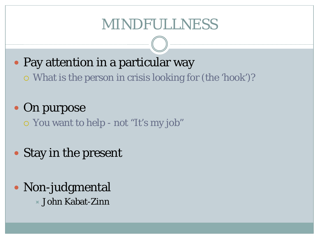#### MINDFULLNESS

- Pay attention in a particular way
	- What is the person in crisis looking for (the 'hook')?
- On purpose
	- You want to help not "It's my job"
- Stay in the present
- Non-judgmental John Kabat-Zinn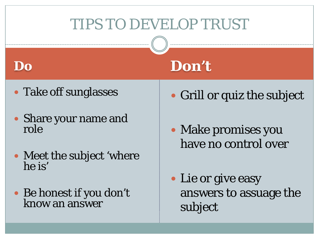# TIPS TO DEVELOP TRUST

**Don't**

#### **Do**

- Take off sunglasses
- Share your name and role
- Meet the subject 'where he is'
- Be honest if you don't know an answer
- Grill or quiz the subject
- Make promises you have no control over
- Lie or give easy answers to assuage the subject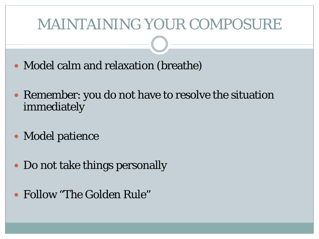#### MAINTAINING YOUR COMPOSURE

- Model calm and relaxation (breathe)
- Remember: you do not have to resolve the situation immediately
- Model patience
- Do not take things personally
- Follow "The Golden Rule"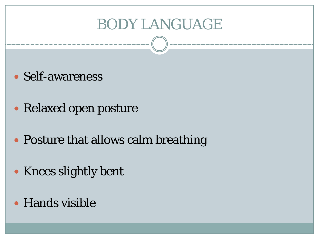### BODY LANGUAGE

- Self-awareness
- Relaxed open posture
- Posture that allows calm breathing
- Knees slightly bent
- Hands visible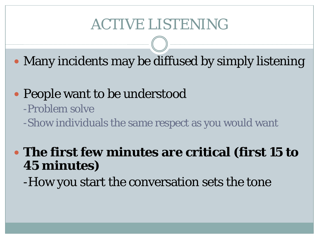## ACTIVE LISTENING

• Many incidents may be diffused by simply listening

• People want to be understood -Problem solve -Show individuals the same respect as you would want

 **The first few minutes are critical (first 15 to 45 minutes)**

-How you start the conversation sets the tone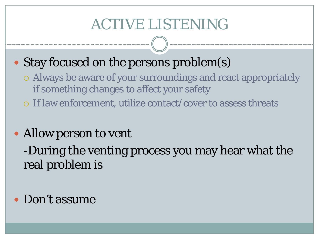# ACTIVE LISTENING

#### • Stay focused on the persons problem(s)

- Always be aware of your surroundings and react appropriately if something changes to affect your safety
- If law enforcement, utilize contact/cover to assess threats

#### • Allow person to vent

-During the venting process you may hear what the real problem is

#### • Don't assume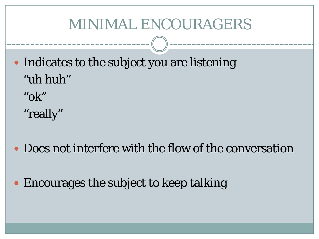#### MINIMAL ENCOURAGERS

- Indicates to the subject you are listening "uh huh" "ok"
	- "really"
- Does not interfere with the flow of the conversation
- Encourages the subject to keep talking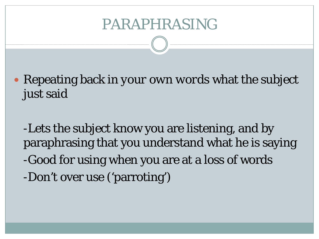#### PARAPHRASING

 Repeating back *in your own words* what the subject just said

-Lets the subject know you are listening, and by paraphrasing that you understand what he is saying -Good for using when you are at a loss of words -Don't over use ('parroting')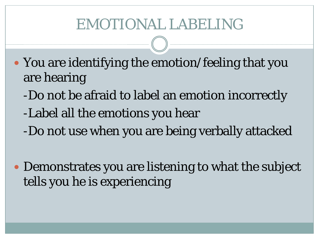## EMOTIONAL LABELING

- You are identifying the emotion/feeling that you are hearing
	- -Do not be afraid to label an emotion incorrectly
	- -Label all the emotions you hear
	- -Do not use when you are being verbally attacked
- Demonstrates you are listening to what the subject tells you he is experiencing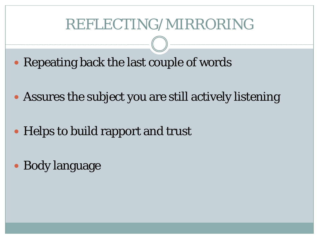#### REFLECTING/MIRRORING

- Repeating back the last couple of words
- Assures the subject you are still actively listening
- Helps to build rapport and trust
- Body language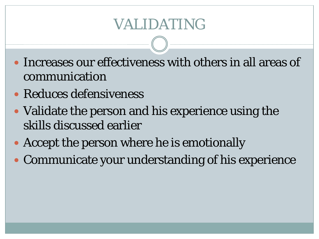## VALIDATING

- Increases our effectiveness with others in all areas of communication
- Reduces defensiveness
- Validate the person and his experience using the skills discussed earlier
- Accept the person where he is emotionally
- Communicate your understanding of his experience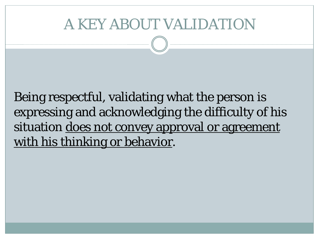### A KEY ABOUT VALIDATION

Being respectful, validating what the person is expressing and acknowledging the difficulty of his situation does not convey approval or agreement with his thinking or behavior.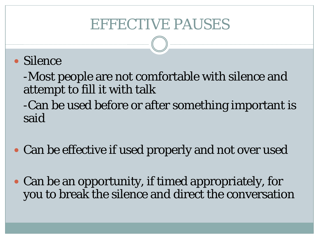## EFFECTIVE PAUSES

#### • Silence

-Most people are not comfortable with silence and attempt to fill it with talk

-Can be used before or after something important is said

- Can be effective if used properly and not over used
- Can be an opportunity, if timed appropriately, for you to break the silence and direct the conversation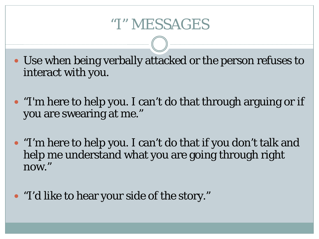#### "I" MESSAGES

- Use when being verbally attacked or the person refuses to interact with you.
- "I'm here to help you. I can't do that through arguing or if you are swearing at me."
- "I'm here to help you. I can't do that if you don't talk and help me understand what you are going through right now."
- "I'd like to hear your side of the story."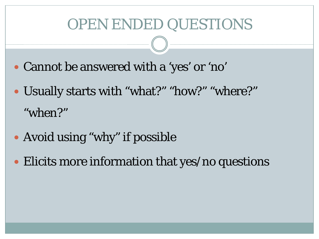### OPEN ENDED QUESTIONS

- Cannot be answered with a 'yes' or 'no'
- Usually starts with "what?" "how?" "where?" "when?"
- Avoid using "why" if possible
- Elicits more information that yes/no questions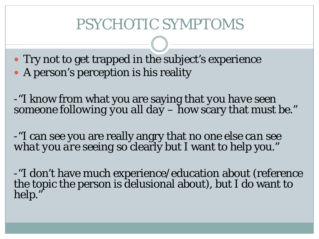## PSYCHOTIC SYMPTOMS

• Try not to get trapped in the subject's experience • A person's perception is his reality

-"I know from what you are saying that *you have seen someone following you all day* – how scary that must be."

-"I can see you are really angry that *no one else can see what you are seeing* so clearly but I want to help you."

-"I don't have much experience/education about (reference the topic the person is delusional about), but I do want to help."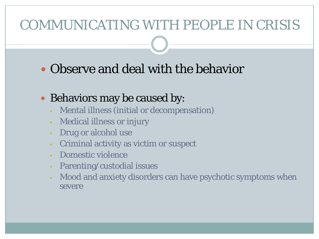#### COMMUNICATING WITH PEOPLE IN CRISIS

#### Observe and deal with the behavior

#### • Behaviors may be caused by:

- Mental illness (initial or decompensation)
- Medical illness or injury
- Drug or alcohol use
- Criminal activity as victim or suspect
- Domestic violence
- Parenting/custodial issues
- Mood and anxiety disorders can have psychotic symptoms when severe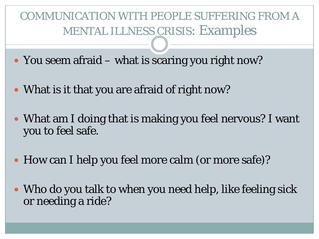COMMUNICATION WITH PEOPLE SUFFERING FROM A MENTAL ILLNESS CRISIS: Examples

- You seem afraid what is scaring you right now?
- What is it that you are afraid of right now?
- What am I doing that is making you feel nervous? I want you to feel safe.
- How can I help you feel more calm (or more safe)?
- Who do you talk to when you need help, like feeling sick or needing a ride?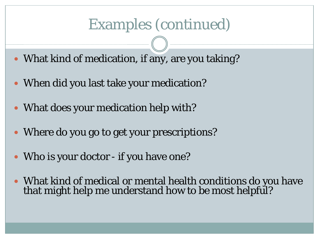#### Examples (continued)

- What kind of medication, if any, are you taking?
- When did you last take your medication?
- What does your medication help with?
- Where do you go to get your prescriptions?
- Who is your doctor if you have one?
- What kind of medical or mental health conditions do you have that might help me understand how to be most helpful?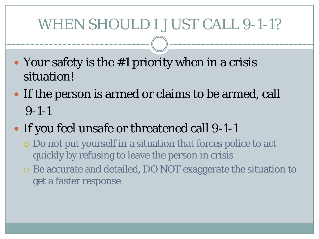## WHEN SHOULD I JUST CALL 9-1-1?

- Your safety is the #1 priority when in a crisis situation!
- If the person is armed or claims to be armed, call 9-1-1
- If you feel unsafe or threatened call 9-1-1
	- Do not put yourself in a situation that forces police to act quickly by refusing to leave the person in crisis
	- Be accurate and detailed, DO NOT exaggerate the situation to get a faster response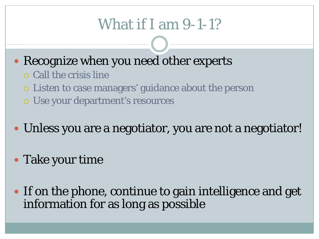# What if I am 9-1-1?

- Recognize when you need other experts
	- Call the crisis line
	- Listen to case managers' guidance about the person
	- Use your department's resources
- Unless you are a negotiator, you are not a negotiator!
- Take your time
- If on the phone, continue to gain intelligence and get information for as long as possible